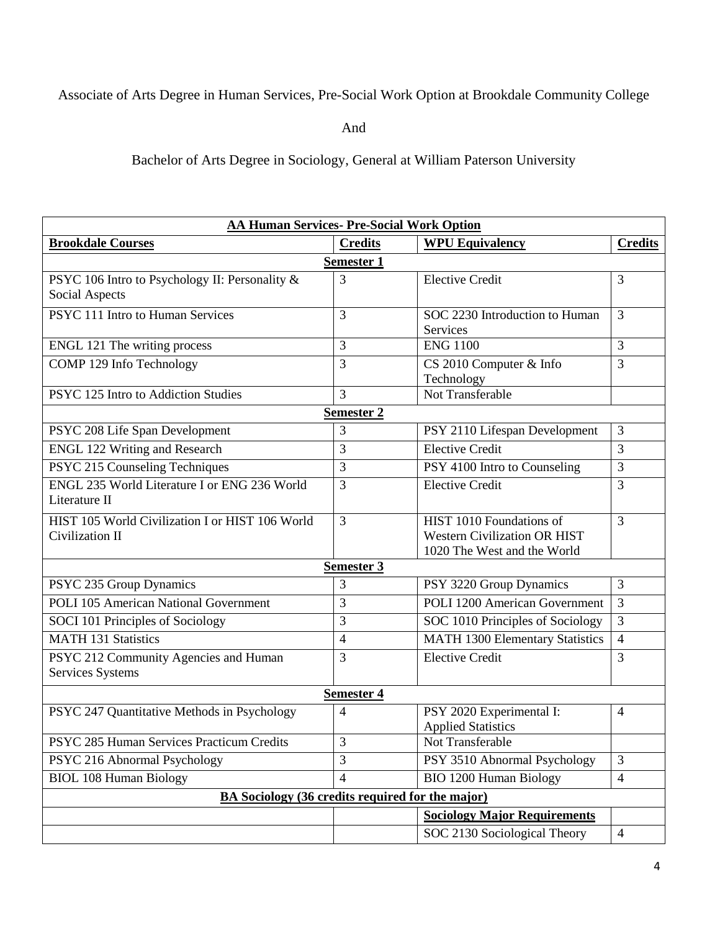## Associate of Arts Degree in Human Services, Pre-Social Work Option at Brookdale Community College

And

Bachelor of Arts Degree in Sociology, General at William Paterson University

| <b>AA Human Services- Pre-Social Work Option</b>        |                   |                                        |                |  |  |
|---------------------------------------------------------|-------------------|----------------------------------------|----------------|--|--|
| <b>Brookdale Courses</b>                                | <b>Credits</b>    | <b>WPU Equivalency</b>                 | <b>Credits</b> |  |  |
| <b>Semester 1</b>                                       |                   |                                        |                |  |  |
| PSYC 106 Intro to Psychology II: Personality &          | 3                 | <b>Elective Credit</b>                 | $\overline{3}$ |  |  |
| Social Aspects                                          |                   |                                        |                |  |  |
| PSYC 111 Intro to Human Services                        | 3                 | SOC 2230 Introduction to Human         | $\overline{3}$ |  |  |
|                                                         |                   | Services                               |                |  |  |
| ENGL 121 The writing process                            | 3                 | <b>ENG 1100</b>                        | 3              |  |  |
| COMP 129 Info Technology                                | 3                 | CS 2010 Computer & Info                | 3              |  |  |
|                                                         |                   | Technology                             |                |  |  |
| PSYC 125 Intro to Addiction Studies                     | $\overline{3}$    | Not Transferable                       |                |  |  |
|                                                         | <b>Semester 2</b> |                                        |                |  |  |
| PSYC 208 Life Span Development                          | 3                 | PSY 2110 Lifespan Development          | 3              |  |  |
| <b>ENGL 122 Writing and Research</b>                    | 3                 | <b>Elective Credit</b>                 | 3              |  |  |
| PSYC 215 Counseling Techniques                          | 3                 | PSY 4100 Intro to Counseling           | 3              |  |  |
| ENGL 235 World Literature I or ENG 236 World            | $\overline{3}$    | <b>Elective Credit</b>                 | 3              |  |  |
| Literature II                                           |                   |                                        |                |  |  |
| HIST 105 World Civilization I or HIST 106 World         | $\overline{3}$    | HIST 1010 Foundations of               | 3              |  |  |
| Civilization II                                         |                   | <b>Western Civilization OR HIST</b>    |                |  |  |
|                                                         |                   | 1020 The West and the World            |                |  |  |
| Semester 3                                              |                   |                                        |                |  |  |
| PSYC 235 Group Dynamics                                 | 3                 | PSY 3220 Group Dynamics                | 3              |  |  |
| <b>POLI 105 American National Government</b>            | 3                 | POLI 1200 American Government          | $\overline{3}$ |  |  |
| SOCI 101 Principles of Sociology                        | 3                 | SOC 1010 Principles of Sociology       | 3              |  |  |
| <b>MATH 131 Statistics</b>                              | $\overline{4}$    | <b>MATH 1300 Elementary Statistics</b> | $\overline{4}$ |  |  |
| PSYC 212 Community Agencies and Human                   | 3                 | <b>Elective Credit</b>                 | 3              |  |  |
| Services Systems                                        |                   |                                        |                |  |  |
| <b>Semester 4</b>                                       |                   |                                        |                |  |  |
| PSYC 247 Quantitative Methods in Psychology             | $\overline{4}$    | PSY 2020 Experimental I:               | $\overline{4}$ |  |  |
|                                                         |                   | <b>Applied Statistics</b>              |                |  |  |
| PSYC 285 Human Services Practicum Credits               | $\mathfrak{Z}$    | Not Transferable                       |                |  |  |
| PSYC 216 Abnormal Psychology                            | 3                 | PSY 3510 Abnormal Psychology           | $\overline{3}$ |  |  |
| <b>BIOL 108 Human Biology</b>                           | $\overline{4}$    | <b>BIO 1200 Human Biology</b>          | $\overline{4}$ |  |  |
| <b>BA Sociology (36 credits required for the major)</b> |                   |                                        |                |  |  |
|                                                         |                   | <b>Sociology Major Requirements</b>    |                |  |  |
|                                                         |                   | SOC 2130 Sociological Theory           | $\overline{4}$ |  |  |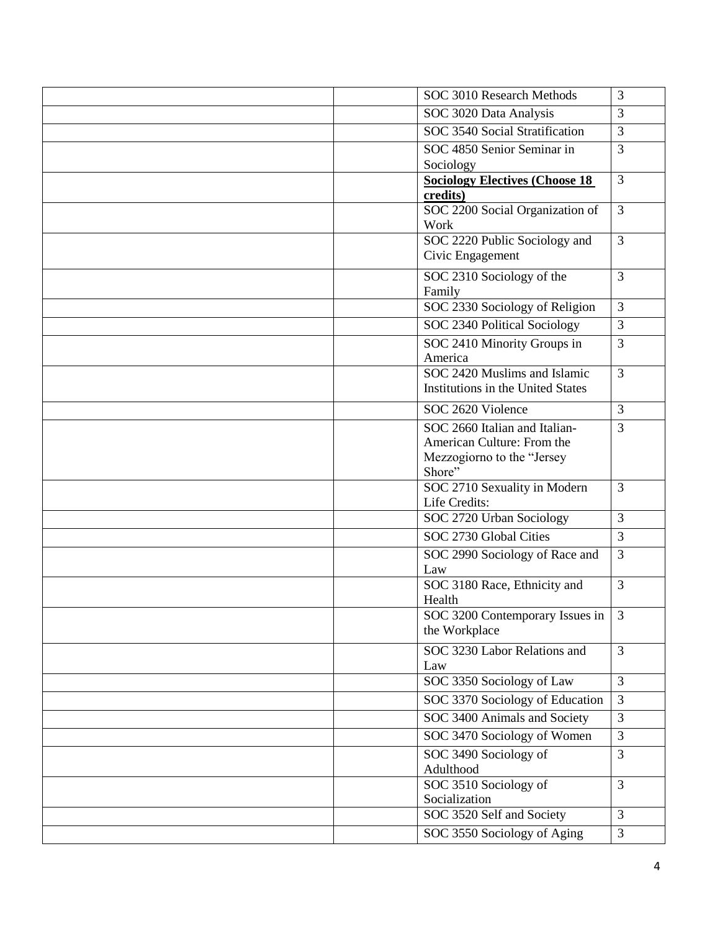| SOC 3010 Research Methods                                   | 3              |
|-------------------------------------------------------------|----------------|
| SOC 3020 Data Analysis                                      | 3              |
| SOC 3540 Social Stratification                              | 3              |
| SOC 4850 Senior Seminar in                                  | 3              |
| Sociology                                                   |                |
| <b>Sociology Electives (Choose 18)</b><br>credits)          | 3              |
| SOC 2200 Social Organization of                             | $\overline{3}$ |
| Work                                                        |                |
| SOC 2220 Public Sociology and                               | $\overline{3}$ |
| Civic Engagement                                            |                |
| SOC 2310 Sociology of the                                   | $\overline{3}$ |
| Family                                                      |                |
| SOC 2330 Sociology of Religion                              | 3              |
| SOC 2340 Political Sociology                                | $\overline{3}$ |
| SOC 2410 Minority Groups in                                 | 3              |
| America<br>SOC 2420 Muslims and Islamic                     | $\overline{3}$ |
| Institutions in the United States                           |                |
| SOC 2620 Violence                                           | 3              |
|                                                             |                |
| SOC 2660 Italian and Italian-<br>American Culture: From the | 3              |
| Mezzogiorno to the "Jersey                                  |                |
| Shore"                                                      |                |
| SOC 2710 Sexuality in Modern                                | 3              |
| Life Credits:                                               |                |
| SOC 2720 Urban Sociology                                    | 3              |
| SOC 2730 Global Cities                                      | $\overline{3}$ |
| SOC 2990 Sociology of Race and                              | 3              |
| Law                                                         |                |
| SOC 3180 Race, Ethnicity and                                | $\overline{3}$ |
| Health                                                      |                |
| SOC 3200 Contemporary Issues in                             | $\overline{3}$ |
| the Workplace                                               |                |
| SOC 3230 Labor Relations and                                | $\overline{3}$ |
| Law<br>SOC 3350 Sociology of Law                            | $\overline{3}$ |
|                                                             |                |
| SOC 3370 Sociology of Education                             | $\overline{3}$ |
| SOC 3400 Animals and Society                                | 3              |
| SOC 3470 Sociology of Women                                 | $\overline{3}$ |
| SOC 3490 Sociology of                                       | $\overline{3}$ |
| Adulthood                                                   | $\overline{3}$ |
| SOC 3510 Sociology of<br>Socialization                      |                |
| SOC 3520 Self and Society                                   | $\overline{3}$ |
| SOC 3550 Sociology of Aging                                 | 3              |
|                                                             |                |